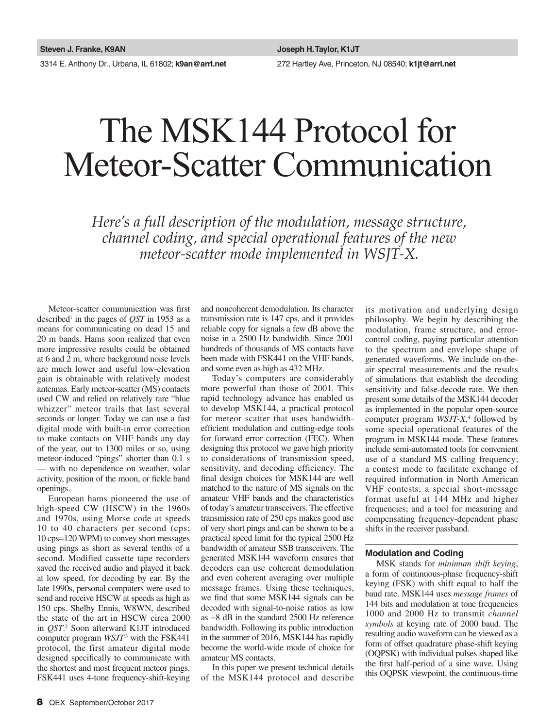3314 E. Anthony Dr., Urbana, IL 61802; **k9an@arrl.net** 272 Hartley Ave, Princeton, NJ 08540; **k1jt@arrl.net**

# The MSK144 Protocol for Meteor-Scatter Communication

*Here's a full description of the modulation, message structure, channel coding, and special operational features of the new meteor-scatter mode implemented in WSJT-X.* 

Meteor-scatter communication was first described<sup>1</sup> in the pages of  $\mathcal{Q}ST$  in 1953 as a means for communicating on dead 15 and 20 m bands. Hams soon realized that even more impressive results could be obtained at 6 and 2 m, where background noise levels are much lower and useful low-elevation gain is obtainable with relatively modest antennas. Early meteor-scatter (MS) contacts used CW and relied on relatively rare "blue whizzer" meteor trails that last several seconds or longer. Today we can use a fast digital mode with built-in error correction to make contacts on VHF bands any day of the year, out to 1300 miles or so, using meteor-induced "pings" shorter than 0.1 s — with no dependence on weather, solar activity, position of the moon, or fickle band openings.

European hams pioneered the use of high-speed CW (HSCW) in the 1960s and 1970s, using Morse code at speeds 10 to 40 characters per second (cps; 10 cps=120 WPM) to convey short messages using pings as short as several tenths of a second. Modified cassette tape recorders saved the received audio and played it back at low speed, for decoding by ear. By the late 1990s, personal computers were used to send and receive HSCW at speeds as high as 150 cps. Shelby Ennis, W8WN, described the state of the art in HSCW circa 2000 in *QST*. 2 Soon afterward K1JT introduced computer program *WSJT*<sup>3</sup> with the FSK441 protocol, the first amateur digital mode designed specifically to communicate with the shortest and most frequent meteor pings. FSK441 uses 4-tone frequency-shift-keying

and noncoherent demodulation. Its character transmission rate is 147 cps, and it provides reliable copy for signals a few dB above the noise in a 2500 Hz bandwidth. Since 2001 hundreds of thousands of MS contacts have been made with FSK441 on the VHF bands, and some even as high as 432 MHz.

Today's computers are considerably more powerful than those of 2001. This rapid technology advance has enabled us to develop MSK144, a practical protocol for meteor scatter that uses bandwidthefficient modulation and cutting-edge tools for forward error correction (FEC). When designing this protocol we gave high priority to considerations of transmission speed, sensitivity, and decoding efficiency. The final design choices for MSK144 are well matched to the nature of MS signals on the amateur VHF bands and the characteristics of today's amateur transceivers. The effective transmission rate of 250 cps makes good use of very short pings and can be shown to be a practical speed limit for the typical 2500 Hz bandwidth of amateur SSB transceivers. The generated MSK144 waveform ensures that decoders can use coherent demodulation and even coherent averaging over multiple message frames. Using these techniques, we find that some MSK144 signals can be decoded with signal-to-noise ratios as low as −8 dB in the standard 2500 Hz reference bandwidth. Following its public introduction in the summer of 2016, MSK144 has rapidly become the world-wide mode of choice for amateur MS contacts.

In this paper we present technical details of the MSK144 protocol and describe its motivation and underlying design philosophy. We begin by describing the modulation, frame structure, and errorcontrol coding, paying particular attention to the spectrum and envelope shape of generated waveforms. We include on-theair spectral measurements and the results of simulations that establish the decoding sensitivity and false-decode rate. We then present some details of the MSK144 decoder as implemented in the popular open-source computer program *WSJT-X*, 4 followed by some special operational features of the program in MSK144 mode. These features include semi-automated tools for convenient use of a standard MS calling frequency; a contest mode to facilitate exchange of required information in North American VHF contests; a special short-message format useful at 144 MHz and higher frequencies; and a tool for measuring and compensating frequency-dependent phase shifts in the receiver passband.

## **Modulation and Coding**

MSK stands for *minimum shift keying*, a form of continuous-phase frequency-shift keying (FSK) with shift equal to half the baud rate. MSK144 uses *message frames* of 144 bits and modulation at tone frequencies 1000 and 2000 Hz to transmit *channel symbols* at keying rate of 2000 baud. The resulting audio waveform can be viewed as a form of offset quadrature phase-shift keying (OQPSK) with individual pulses shaped like the first half-period of a sine wave. Using this OQPSK viewpoint, the continuous-time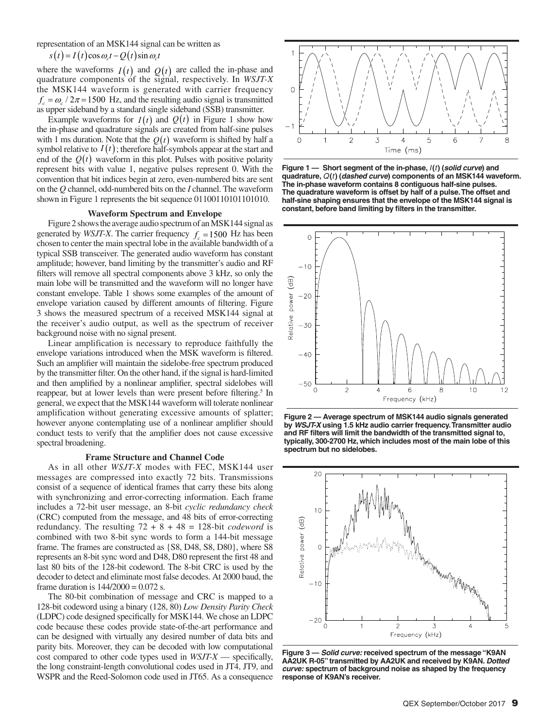representation of an MSK144 signal can be written as

 $s(t) = I(t) \cos \omega_c t - Q(t) \sin \omega_c t$ 

where the waveforms  $I(t)$  and  $Q(t)$  are called the in-phase and quadrature components of the signal, respectively. In *WSJT-X* the MSK144 waveform is generated with carrier frequency  $f_c = \omega_c / 2\pi = 1500$  Hz, and the resulting audio signal is transmitted as upper sideband by a standard single sideband (SSB) transmitter.

Example waveforms for  $I(t)$  and  $Q(t)$  in Figure 1 show how the in-phase and quadrature signals are created from half-sine pulses with 1 ms duration. Note that the  $Q(t)$  waveform is shifted by half a symbol relative to  $I(t)$ ; therefore half-symbols appear at the start and end of the  $Q(t)$  waveform in this plot. Pulses with positive polarity represent bits with value 1, negative pulses represent 0. With the convention that bit indices begin at zero, even-numbered bits are sent on the *Q* channel, odd-numbered bits on the *I* channel. The waveform shown in Figure 1 represents the bit sequence  $01100110101101010$ .

#### **Waveform Spectrum and Envelope**

Figure 2 shows the average audio spectrum of an MSK144 signal as generated by *WSJT-X*. The carrier frequency  $f_c = 1500$  Hz has been chosen to center the main spectral lobe in the available bandwidth of a typical SSB transceiver. The generated audio waveform has constant amplitude; however, band limiting by the transmitter's audio and RF filters will remove all spectral components above 3 kHz, so only the main lobe will be transmitted and the waveform will no longer have constant envelope. Table 1 shows some examples of the amount of envelope variation caused by different amounts of filtering. Figure 3 shows the measured spectrum of a received MSK144 signal at the receiver's audio output, as well as the spectrum of receiver background noise with no signal present.

Linear amplification is necessary to reproduce faithfully the envelope variations introduced when the MSK waveform is filtered. Such an amplifier will maintain the sidelobe-free spectrum produced by the transmitter filter. On the other hand, if the signal is hard-limited and then amplified by a nonlinear amplifier, spectral sidelobes will reappear, but at lower levels than were present before filtering.<sup>5</sup> In general, we expect that the MSK144 waveform will tolerate nonlinear amplification without generating excessive amounts of splatter; however anyone contemplating use of a nonlinear amplifier should conduct tests to verify that the amplifier does not cause excessive spectral broadening.

#### **Frame Structure and Channel Code**

As in all other *WSJT-X* modes with FEC, MSK144 user messages are compressed into exactly 72 bits. Transmissions consist of a sequence of identical frames that carry these bits along with synchronizing and error-correcting information. Each frame includes a 72-bit user message, an 8-bit *cyclic redundancy check* (CRC) computed from the message, and 48 bits of error-correcting redundancy. The resulting  $72 + 8 + 48 = 128$ -bit *codeword* is combined with two 8-bit sync words to form a 144-bit message frame. The frames are constructed as {S8, D48, S8, D80}, where S8 represents an 8-bit sync word and D48, D80 represent the first 48 and last 80 bits of the 128-bit codeword. The 8-bit CRC is used by the decoder to detect and eliminate most false decodes. At 2000 baud, the frame duration is  $144/2000 = 0.072$  s.

The 80-bit combination of message and CRC is mapped to a 128-bit codeword using a binary (128, 80) *Low Density Parity Check* (LDPC) code designed specifically for MSK144. We chose an LDPC code because these codes provide state-of-the-art performance and can be designed with virtually any desired number of data bits and parity bits. Moreover, they can be decoded with low computational cost compared to other code types used in *WSJT-X* — specifically, the long constraint-length convolutional codes used in JT4, JT9, and WSPR and the Reed-Solomon code used in JT65. As a consequence



**Figure 1 — Short segment of the in-phase,** *I***(***t***) (***solid curve***) and quadrature,** *Q***(***t***) (***dashed curve***) components of an MSK144 waveform. The in-phase waveform contains 8 contiguous half-sine pulses. The quadrature waveform is offset by half of a pulse. The offset and half-sine shaping ensures that the envelope of the MSK144 signal is constant, before band limiting by filters in the transmitter.**



**Figure 2 — Average spectrum of MSK144 audio signals generated by** *WSJT-X* **using 1.5 kHz audio carrier frequency. Transmitter audio and RF filters will limit the bandwidth of the transmitted signal to, typically, 300-2700 Hz, which includes most of the main lobe of this spectrum but no sidelobes.**



**Figure 3 —** *Solid curve:* **received spectrum of the message "K9AN AA2UK R-05" transmitted by AA2UK and received by K9AN.** *Dotted curve:* **spectrum of background noise as shaped by the frequency response of K9AN's receiver.**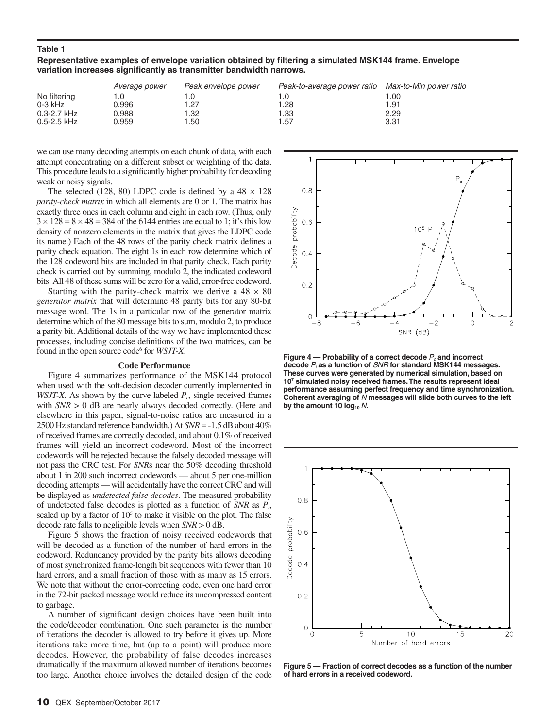## **Table 1**

**Representative examples of envelope variation obtained by filtering a simulated MSK144 frame. Envelope variation increases significantly as transmitter bandwidth narrows.**

| Average power   |       | Peak envelope power | Peak-to-average power ratio | Max-to-Min power ratio |  |
|-----------------|-------|---------------------|-----------------------------|------------------------|--|
| No filtering    |       |                     | l .O                        | .00                    |  |
| $0-3$ kHz       | 0.996 | 1.27                | .28                         | 91. ا                  |  |
| $0.3 - 2.7$ kHz | 0.988 | 1.32                | 1.33                        | 2.29                   |  |
| $0.5 - 2.5$ kHz | 0.959 | 1.50                | 1.57                        | 3.31                   |  |

we can use many decoding attempts on each chunk of data, with each attempt concentrating on a different subset or weighting of the data. This procedure leads to a significantly higher probability for decoding weak or noisy signals.

The selected (128, 80) LDPC code is defined by a  $48 \times 128$ *parity-check matrix* in which all elements are 0 or 1. The matrix has exactly three ones in each column and eight in each row. (Thus, only  $3 \times 128 = 8 \times 48 = 384$  of the 6144 entries are equal to 1; it's this low density of nonzero elements in the matrix that gives the LDPC code its name.) Each of the 48 rows of the parity check matrix defines a parity check equation. The eight 1s in each row determine which of the 128 codeword bits are included in that parity check. Each parity check is carried out by summing, modulo 2, the indicated codeword bits. All 48 of these sums will be zero for a valid, error-free codeword.

Starting with the parity-check matrix we derive a  $48 \times 80$ *generator matrix* that will determine 48 parity bits for any 80-bit message word. The 1s in a particular row of the generator matrix determine which of the 80 message bits to sum, modulo 2, to produce a parity bit. Additional details of the way we have implemented these processes, including concise definitions of the two matrices, can be found in the open source code<sup>6</sup> for *WSJT-X*.

#### **Code Performance**

Figure 4 summarizes performance of the MSK144 protocol when used with the soft-decision decoder currently implemented in *WSJT-X*. As shown by the curve labeled  $P_c$ , single received frames with *SNR* > 0 dB are nearly always decoded correctly. (Here and elsewhere in this paper, signal-to-noise ratios are measured in a 2500 Hz standard reference bandwidth.) At *SNR* = -1.5 dB about 40% of received frames are correctly decoded, and about 0.1% of received frames will yield an incorrect codeword. Most of the incorrect codewords will be rejected because the falsely decoded message will not pass the CRC test. For *SNR*s near the 50% decoding threshold about 1 in 200 such incorrect codewords — about 5 per one-million decoding attempts — will accidentally have the correct CRC and will be displayed as *undetected false decodes*. The measured probability of undetected false decodes is plotted as a function of *SNR* as *Pi*, scaled up by a factor of  $10<sup>5</sup>$  to make it visible on the plot. The false decode rate falls to negligible levels when *SNR* > 0 dB.

Figure 5 shows the fraction of noisy received codewords that will be decoded as a function of the number of hard errors in the codeword. Redundancy provided by the parity bits allows decoding of most synchronized frame-length bit sequences with fewer than 10 hard errors, and a small fraction of those with as many as 15 errors. We note that without the error-correcting code, even one hard error in the 72-bit packed message would reduce its uncompressed content to garbage.

A number of significant design choices have been built into the code/decoder combination. One such parameter is the number of iterations the decoder is allowed to try before it gives up. More iterations take more time, but (up to a point) will produce more decodes. However, the probability of false decodes increases dramatically if the maximum allowed number of iterations becomes too large. Another choice involves the detailed design of the code



**Figure 4 — Probability of a correct decode**  $P_c$  **and incorrect decode** *Pi*  **as a function of** *SNR* **for standard MSK144 messages. These curves were generated by numerical simulation, based on 107 simulated noisy received frames. The results represent ideal performance assuming perfect frequency and time synchronization. Coherent averaging of** *N* **messages will slide both curves to the left**  by the amount 10  $log_{10} N$ .



**Figure 5 — Fraction of correct decodes as a function of the number of hard errors in a received codeword.**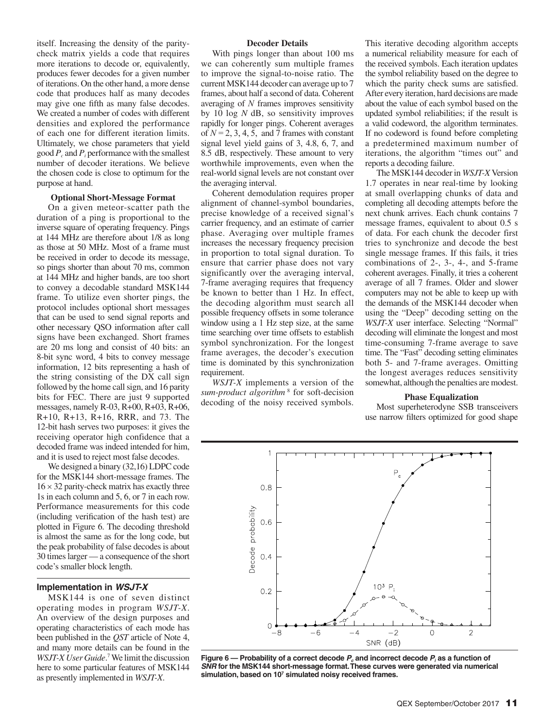itself. Increasing the density of the paritycheck matrix yields a code that requires more iterations to decode or, equivalently, produces fewer decodes for a given number of iterations. On the other hand, a more dense code that produces half as many decodes may give one fifth as many false decodes. We created a number of codes with different densities and explored the performance of each one for different iteration limits. Ultimately, we chose parameters that yield good  $P_c$  and  $P_i$  performance with the smallest number of decoder iterations. We believe the chosen code is close to optimum for the purpose at hand.

#### **Optional Short-Message Format**

On a given meteor-scatter path the duration of a ping is proportional to the inverse square of operating frequency. Pings at 144 MHz are therefore about 1/8 as long as those at 50 MHz. Most of a frame must be received in order to decode its message, so pings shorter than about 70 ms, common at 144 MHz and higher bands, are too short to convey a decodable standard MSK144 frame. To utilize even shorter pings, the protocol includes optional short messages that can be used to send signal reports and other necessary QSO information after call signs have been exchanged. Short frames are 20 ms long and consist of 40 bits: an 8-bit sync word, 4 bits to convey message information, 12 bits representing a hash of the string consisting of the DX call sign followed by the home call sign, and 16 parity bits for FEC. There are just 9 supported messages, namely R-03, R+00, R+03, R+06, R+10, R+13, R+16, RRR, and 73. The 12-bit hash serves two purposes: it gives the receiving operator high confidence that a decoded frame was indeed intended for him, and it is used to reject most false decodes.

We designed a binary (32,16) LDPC code for the MSK144 short-message frames. The  $16 \times 32$  parity-check matrix has exactly three 1s in each column and 5, 6, or 7 in each row. Performance measurements for this code (including verification of the hash test) are plotted in Figure 6. The decoding threshold is almost the same as for the long code, but the peak probability of false decodes is about 30 times larger — a consequence of the short code's smaller block length.

#### **Implementation in** *WSJT-X*

MSK144 is one of seven distinct operating modes in program *WSJT-X*. An overview of the design purposes and operating characteristics of each mode has been published in the *QST* article of Note 4, and many more details can be found in the WSJT-X User Guide.<sup>7</sup> We limit the discussion here to some particular features of MSK144 as presently implemented in *WSJT-X*.

#### **Decoder Details**

With pings longer than about 100 ms we can coherently sum multiple frames to improve the signal-to-noise ratio. The current MSK144 decoder can average up to 7 frames, about half a second of data. Coherent averaging of *N* frames improves sensitivity by 10 log *N* dB, so sensitivity improves rapidly for longer pings. Coherent averages of  $N = 2, 3, 4, 5,$  and 7 frames with constant signal level yield gains of 3, 4.8, 6, 7, and 8.5 dB, respectively. These amount to very worthwhile improvements, even when the real-world signal levels are not constant over the averaging interval.

Coherent demodulation requires proper alignment of channel-symbol boundaries, precise knowledge of a received signal's carrier frequency, and an estimate of carrier phase. Averaging over multiple frames increases the necessary frequency precision in proportion to total signal duration. To ensure that carrier phase does not vary significantly over the averaging interval, 7-frame averaging requires that frequency be known to better than 1 Hz. In effect, the decoding algorithm must search all possible frequency offsets in some tolerance window using a 1 Hz step size, at the same time searching over time offsets to establish symbol synchronization. For the longest frame averages, the decoder's execution time is dominated by this synchronization requirement.

*WSJT-X* implements a version of the sum-product algorithm<sup>8</sup> for soft-decision decoding of the noisy received symbols.

This iterative decoding algorithm accepts a numerical reliability measure for each of the received symbols. Each iteration updates the symbol reliability based on the degree to which the parity check sums are satisfied. After every iteration, hard decisions are made about the value of each symbol based on the updated symbol reliabilities; if the result is a valid codeword, the algorithm terminates. If no codeword is found before completing a predetermined maximum number of iterations, the algorithm "times out" and reports a decoding failure.

The MSK144 decoder in *WSJT-X* Version 1.7 operates in near real-time by looking at small overlapping chunks of data and completing all decoding attempts before the next chunk arrives. Each chunk contains 7 message frames, equivalent to about 0.5 s of data. For each chunk the decoder first tries to synchronize and decode the best single message frames. If this fails, it tries combinations of 2-, 3-, 4-, and 5-frame coherent averages. Finally, it tries a coherent average of all 7 frames. Older and slower computers may not be able to keep up with the demands of the MSK144 decoder when using the "Deep" decoding setting on the *WSJT-X* user interface. Selecting "Normal" decoding will eliminate the longest and most time-consuming 7-frame average to save time. The "Fast" decoding setting eliminates both 5- and 7-frame averages. Omitting the longest averages reduces sensitivity somewhat, although the penalties are modest.

#### **Phase Equalization**

Most superheterodyne SSB transceivers use narrow filters optimized for good shape



**Figure 6 — Probability of a correct decode**  $P_c$  **and incorrect decode**  $P_i$  **as a function of** *SNR* **for the MSK144 short-message format. These curves were generated via numerical**  simulation, based on 10<sup>7</sup> simulated noisy received frames.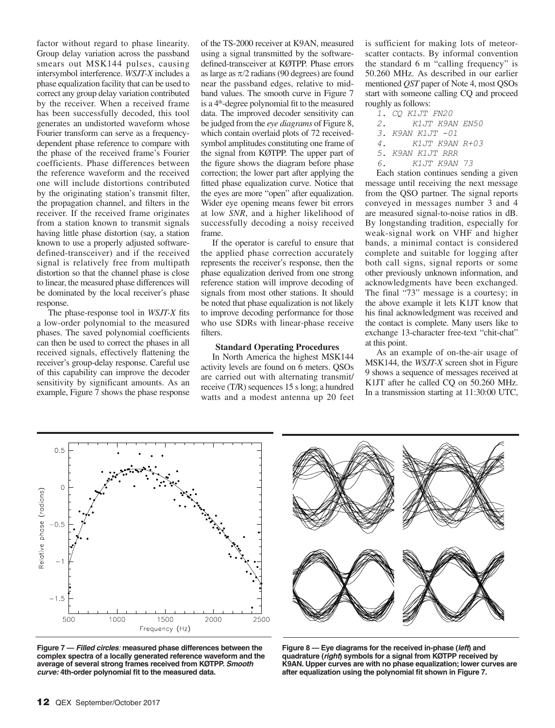factor without regard to phase linearity. Group delay variation across the passband smears out MSK144 pulses, causing intersymbol interference. *WSJT-X* includes a phase equalization facility that can be used to correct any group delay variation contributed by the receiver. When a received frame has been successfully decoded, this tool generates an undistorted waveform whose Fourier transform can serve as a frequencydependent phase reference to compare with the phase of the received frame's Fourier coefficients. Phase differences between the reference waveform and the received one will include distortions contributed by the originating station's transmit filter, the propagation channel, and filters in the receiver. If the received frame originates from a station known to transmit signals having little phase distortion (say, a station known to use a properly adjusted softwaredefined-transceiver) and if the received signal is relatively free from multipath distortion so that the channel phase is close to linear, the measured phase differences will be dominated by the local receiver's phase response.

The phase-response tool in *WSJT-X* fits a low-order polynomial to the measured phases. The saved polynomial coefficients can then be used to correct the phases in all received signals, effectively flattening the receiver's group-delay response. Careful use of this capability can improve the decoder sensitivity by significant amounts. As an example, Figure 7 shows the phase response

of the TS-2000 receiver at K9AN, measured using a signal transmitted by the softwaredefined-transceiver at KØTPP. Phase errors as large as  $\pi/2$  radians (90 degrees) are found near the passband edges, relative to midband values. The smooth curve in Figure 7 is a 4<sup>th</sup>-degree polynomial fit to the measured data. The improved decoder sensitivity can be judged from the *eye diagrams* of Figure 8, which contain overlaid plots of 72 receivedsymbol amplitudes constituting one frame of the signal from KØTPP. The upper part of the figure shows the diagram before phase correction; the lower part after applying the fitted phase equalization curve. Notice that the eyes are more "open" after equalization. Wider eye opening means fewer bit errors at low *SNR*, and a higher likelihood of successfully decoding a noisy received frame.

If the operator is careful to ensure that the applied phase correction accurately represents the receiver's response, then the phase equalization derived from one strong reference station will improve decoding of signals from most other stations. It should be noted that phase equalization is not likely to improve decoding performance for those who use SDRs with linear-phase receive filters.

### **Standard Operating Procedures**

In North America the highest MSK144 activity levels are found on 6 meters. QSOs are carried out with alternating transmit/ receive (T/R) sequences 15 s long; a hundred watts and a modest antenna up 20 feet is sufficient for making lots of meteorscatter contacts. By informal convention the standard 6 m "calling frequency" is 50.260 MHz. As described in our earlier mentioned *QST* paper of Note 4, most QSOs start with someone calling CQ and proceed roughly as follows:

*1. CQ K1JT FN20 2. K1JT K9AN EN50 3. K9AN K1JT -01 4. K1JT K9AN R+03 5. K9AN K1JT RRR 6. K1JT K9AN 73*

Each station continues sending a given message until receiving the next message from the QSO partner. The signal reports conveyed in messages number 3 and 4 are measured signal-to-noise ratios in dB. By longstanding tradition, especially for weak-signal work on VHF and higher bands, a minimal contact is considered complete and suitable for logging after both call signs, signal reports or some other previously unknown information, and acknowledgments have been exchanged. The final "73" message is a courtesy; in the above example it lets K1JT know that his final acknowledgment was received and the contact is complete. Many users like to exchange 13-character free-text "chit-chat" at this point.

As an example of on-the-air usage of MSK144, the *WSJT-X* screen shot in Figure 9 shows a sequence of messages received at K1JT after he called CQ on 50.260 MHz. In a transmission starting at 11:30:00 UTC,



**Figure 7 —** *Filled circles:* **measured phase differences between the complex spectra of a locally generated reference waveform and the average of several strong frames received from KØTPP.** *Smooth curve:* **4th-order polynomial fit to the measured data.** 



**Figure 8 — Eye diagrams for the received in-phase (***left***) and quadrature (***right***) symbols for a signal from KØTPP received by K9AN. Upper curves are with no phase equalization; lower curves are after equalization using the polynomial fit shown in Figure 7.**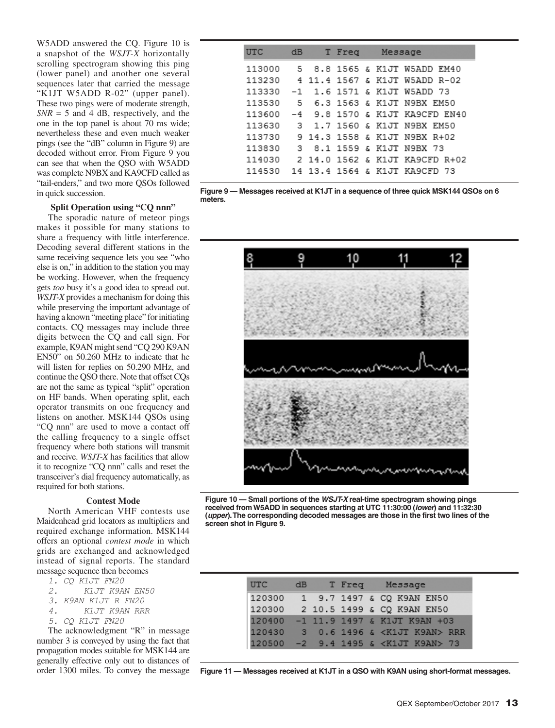W5ADD answered the CQ. Figure 10 is a snapshot of the *WSJT-X* horizontally scrolling spectrogram showing this ping (lower panel) and another one several sequences later that carried the message "K1JT W5ADD R-02" (upper panel). These two pings were of moderate strength,  $SNR = 5$  and 4 dB, respectively, and the one in the top panel is about 70 ms wide; nevertheless these and even much weaker pings (see the "dB" column in Figure 9) are decoded without error. From Figure 9 you can see that when the QSO with W5ADD was complete N9BX and KA9CFD called as "tail-enders," and two more QSOs followed in quick succession.

## **Split Operation using "CQ nnn"**

The sporadic nature of meteor pings makes it possible for many stations to share a frequency with little interference. Decoding several different stations in the same receiving sequence lets you see "who else is on," in addition to the station you may be working. However, when the frequency gets *too* busy it's a good idea to spread out. *WSJT-X* provides a mechanism for doing this while preserving the important advantage of having a known "meeting place" for initiating contacts. CQ messages may include three digits between the CQ and call sign. For example, K9AN might send "CQ 290 K9AN EN50" on 50.260 MHz to indicate that he will listen for replies on 50.290 MHz, and continue the QSO there. Note that offset CQs are not the same as typical "split" operation on HF bands. When operating split, each operator transmits on one frequency and listens on another. MSK144 QSOs using "CQ nnn" are used to move a contact off the calling frequency to a single offset frequency where both stations will transmit and receive. *WSJT-X* has facilities that allow it to recognize "CQ nnn" calls and reset the transceiver's dial frequency automatically, as required for both stations.

## **Contest Mode**

North American VHF contests use Maidenhead grid locators as multipliers and required exchange information. MSK144 offers an optional *contest mode* in which grids are exchanged and acknowledged instead of signal reports. The standard message sequence then becomes

- *1. CQ K1JT FN20*
- *2. K1JT K9AN EN50*
- *3. K9AN K1JT R FN20*
- *4. K1JT K9AN RRR*
- *5. CQ K1JT FN20*

The acknowledgment "R" in message number 3 is conveyed by using the fact that propagation modes suitable for MSK144 are generally effective only out to distances of order 1300 miles. To convey the message

| UTC    | dB | T Freq | Message                        |
|--------|----|--------|--------------------------------|
| 113000 |    |        | 5 8.8 1565 & K1JT W5ADD EM40   |
| 113230 |    |        | 4 11.4 1567 & K1JT W5ADD R-02  |
| 113330 |    |        | -1 1.6 1571 & K1JT W5ADD 73    |
| 113530 |    |        |                                |
| 113600 |    |        | -4 9.8 1570 & K1JT KA9CFD EN40 |
| 113630 |    |        | 3 1.7 1560 & K1JT N9BX EM50    |
| 113730 |    |        | 9 14.3 1558 & K1JT N9BX R+02   |
| 113830 |    |        | 3 8.1 1559 & K1JT N9BX 73      |
| 114030 |    |        | 2 14.0 1562 & K1JT KA9CFD R+02 |
| 114530 |    |        | 14 13.4 1564 & K1JT KA9CFD 73  |

**Figure 9 — Messages received at K1JT in a sequence of three quick MSK144 QSOs on 6 meters.**



**Figure 10 — Small portions of the** *WSJT-X* **real-time spectrogram showing pings received from W5ADD in sequences starting at UTC 11:30:00 (***lower***) and 11:32:30 (***upper***). The corresponding decoded messages are those in the first two lines of the screen shot in Figure 9.**

| UTC.   | dB. |  | T Freq Message                         |
|--------|-----|--|----------------------------------------|
| 120300 |     |  | 1 9.7 1497 & CQ K9AN EN50              |
|        |     |  | 120300 2 10.5 1499 & CQ K9AN EN50      |
| 120400 |     |  | -1 11.9 1497 & K1JT K9AN +03           |
| 120430 |     |  | 3 0.6 1496 & <k1jt k9an=""> RRR</k1jt> |
| 120500 |     |  | -2 9.4 1495 & <k1jt k9an=""> 73</k1jt> |

**Figure 11 — Messages received at K1JT in a QSO with K9AN using short-format messages.**